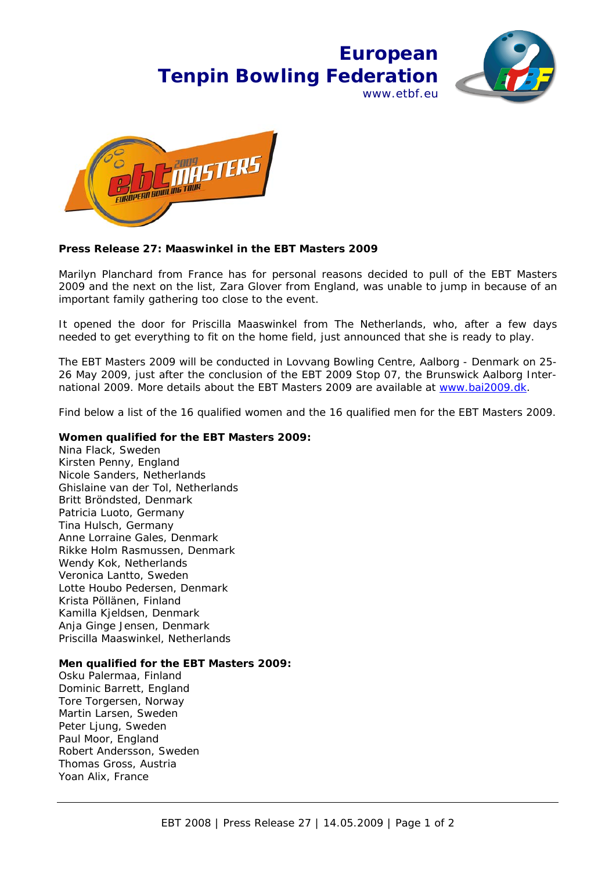## **European Tenpin Bowling Federation** www.ethf.eu





## **Press Release 27: Maaswinkel in the EBT Masters 2009**

Marilyn Planchard from France has for personal reasons decided to pull of the EBT Masters 2009 and the next on the list, Zara Glover from England, was unable to jump in because of an important family gathering too close to the event.

It opened the door for Priscilla Maaswinkel from The Netherlands, who, after a few days needed to get everything to fit on the home field, just announced that she is ready to play.

The EBT Masters 2009 will be conducted in Lovvang Bowling Centre, Aalborg - Denmark on 25- 26 May 2009, just after the conclusion of the EBT 2009 Stop 07, the Brunswick Aalborg International 2009. More details about the EBT Masters 2009 are available at www.bai2009.dk.

Find below a list of the 16 qualified women and the 16 qualified men for the EBT Masters 2009.

## **Women qualified for the EBT Masters 2009:**

Nina Flack, Sweden Kirsten Penny, England Nicole Sanders, Netherlands Ghislaine van der Tol, Netherlands Britt Bröndsted, Denmark Patricia Luoto, Germany Tina Hulsch, Germany Anne Lorraine Gales, Denmark Rikke Holm Rasmussen, Denmark Wendy Kok, Netherlands Veronica Lantto, Sweden Lotte Houbo Pedersen, Denmark Krista Pöllänen, Finland Kamilla Kjeldsen, Denmark Anja Ginge Jensen, Denmark Priscilla Maaswinkel, Netherlands

## **Men qualified for the EBT Masters 2009:**

Osku Palermaa, Finland Dominic Barrett, England Tore Torgersen, Norway Martin Larsen, Sweden Peter Ljung, Sweden Paul Moor, England Robert Andersson, Sweden Thomas Gross, Austria Yoan Alix, France